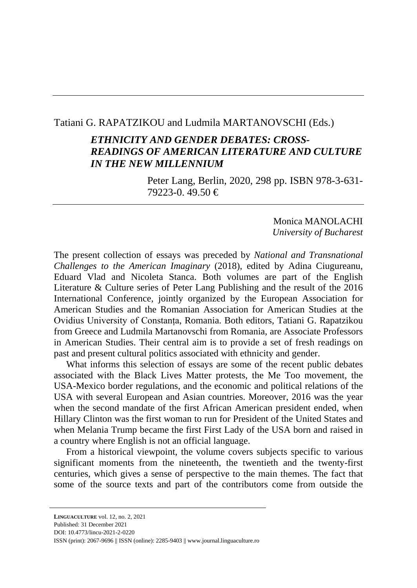## Tatiani G. RAPATZIKOU and Ludmila MARTANOVSCHI (Eds.)

# *ETHNICITY AND GENDER DEBATES: CROSS-READINGS OF AMERICAN LITERATURE AND CULTURE IN THE NEW MILLENNIUM*

Peter Lang, Berlin, 2020, 298 pp. ISBN 978-3-631- 79223-0. 49.50 €

> Monica MANOLACHI *University of Bucharest*

The present collection of essays was preceded by *National and Transnational Challenges to the American Imaginary* (2018), edited by Adina Ciugureanu, Eduard Vlad and Nicoleta Stanca. Both volumes are part of the English Literature & Culture series of Peter Lang Publishing and the result of the 2016 International Conference, jointly organized by the European Association for American Studies and the Romanian Association for American Studies at the Ovidius University of Constanța, Romania. Both editors, Tatiani G. Rapatzikou from Greece and Ludmila Martanovschi from Romania, are Associate Professors in American Studies. Their central aim is to provide a set of fresh readings on past and present cultural politics associated with ethnicity and gender.

What informs this selection of essays are some of the recent public debates associated with the Black Lives Matter protests, the Me Too movement, the USA-Mexico border regulations, and the economic and political relations of the USA with several European and Asian countries. Moreover, 2016 was the year when the second mandate of the first African American president ended, when Hillary Clinton was the first woman to run for President of the United States and when Melania Trump became the first First Lady of the USA born and raised in a country where English is not an official language.

From a historical viewpoint, the volume covers subjects specific to various significant moments from the nineteenth, the twentieth and the twenty-first centuries, which gives a sense of perspective to the main themes. The fact that some of the source texts and part of the contributors come from outside the

**LINGUACULTURE** vol. 12, no. 2, 2021 Published: 31 December 2021 DOI: 10.4773/lincu-2021-2-0220 ISSN (print): 2067-9696 || ISSN (online): 2285-9403 || www.journal.linguaculture.ro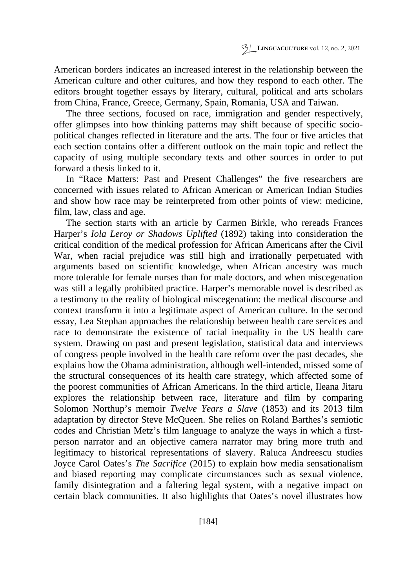American borders indicates an increased interest in the relationship between the American culture and other cultures, and how they respond to each other. The editors brought together essays by literary, cultural, political and arts scholars from China, France, Greece, Germany, Spain, Romania, USA and Taiwan.

The three sections, focused on race, immigration and gender respectively, offer glimpses into how thinking patterns may shift because of specific sociopolitical changes reflected in literature and the arts. The four or five articles that each section contains offer a different outlook on the main topic and reflect the capacity of using multiple secondary texts and other sources in order to put forward a thesis linked to it.

In "Race Matters: Past and Present Challenges" the five researchers are concerned with issues related to African American or American Indian Studies and show how race may be reinterpreted from other points of view: medicine, film, law, class and age.

The section starts with an article by Carmen Birkle, who rereads Frances Harper's *Iola Leroy or Shadows Uplifted* (1892) taking into consideration the critical condition of the medical profession for African Americans after the Civil War, when racial prejudice was still high and irrationally perpetuated with arguments based on scientific knowledge, when African ancestry was much more tolerable for female nurses than for male doctors, and when miscegenation was still a legally prohibited practice. Harper's memorable novel is described as a testimony to the reality of biological miscegenation: the medical discourse and context transform it into a legitimate aspect of American culture. In the second essay, Lea Stephan approaches the relationship between health care services and race to demonstrate the existence of racial inequality in the US health care system. Drawing on past and present legislation, statistical data and interviews of congress people involved in the health care reform over the past decades, she explains how the Obama administration, although well-intended, missed some of the structural consequences of its health care strategy, which affected some of the poorest communities of African Americans. In the third article, Ileana Jitaru explores the relationship between race, literature and film by comparing Solomon Northup's memoir *Twelve Years a Slave* (1853) and its 2013 film adaptation by director Steve McQueen. She relies on Roland Barthes's semiotic codes and Christian Metz's film language to analyze the ways in which a firstperson narrator and an objective camera narrator may bring more truth and legitimacy to historical representations of slavery. Raluca Andreescu studies Joyce Carol Oates's *The Sacrifice* (2015) to explain how media sensationalism and biased reporting may complicate circumstances such as sexual violence, family disintegration and a faltering legal system, with a negative impact on certain black communities. It also highlights that Oates's novel illustrates how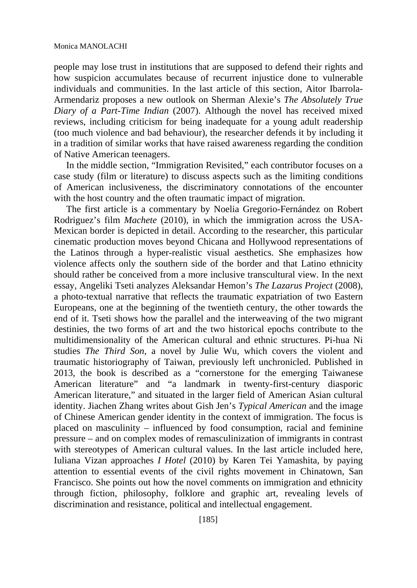#### Monica MANOLACHI

people may lose trust in institutions that are supposed to defend their rights and how suspicion accumulates because of recurrent injustice done to vulnerable individuals and communities. In the last article of this section, Aitor Ibarrola-Armendariz proposes a new outlook on Sherman Alexie's *The Absolutely True Diary of a Part-Time Indian* (2007). Although the novel has received mixed reviews, including criticism for being inadequate for a young adult readership (too much violence and bad behaviour), the researcher defends it by including it in a tradition of similar works that have raised awareness regarding the condition of Native American teenagers.

In the middle section, "Immigration Revisited," each contributor focuses on a case study (film or literature) to discuss aspects such as the limiting conditions of American inclusiveness, the discriminatory connotations of the encounter with the host country and the often traumatic impact of migration.

The first article is a commentary by Noelia Gregorio-Fernández on Robert Rodriguez's film *Machete* (2010), in which the immigration across the USA-Mexican border is depicted in detail. According to the researcher, this particular cinematic production moves beyond Chicana and Hollywood representations of the Latinos through a hyper-realistic visual aesthetics. She emphasizes how violence affects only the southern side of the border and that Latino ethnicity should rather be conceived from a more inclusive transcultural view. In the next essay, Angeliki Tseti analyzes Aleksandar Hemon's *The Lazarus Project* (2008), a photo-textual narrative that reflects the traumatic expatriation of two Eastern Europeans, one at the beginning of the twentieth century, the other towards the end of it. Tseti shows how the parallel and the interweaving of the two migrant destinies, the two forms of art and the two historical epochs contribute to the multidimensionality of the American cultural and ethnic structures. Pi-hua Ni studies *The Third Son*, a novel by Julie Wu, which covers the violent and traumatic historiography of Taiwan, previously left unchronicled. Published in 2013, the book is described as a "cornerstone for the emerging Taiwanese American literature" and "a landmark in twenty-first-century diasporic American literature," and situated in the larger field of American Asian cultural identity. Jiachen Zhang writes about Gish Jen's *Typical American* and the image of Chinese American gender identity in the context of immigration. The focus is placed on masculinity – influenced by food consumption, racial and feminine pressure – and on complex modes of remasculinization of immigrants in contrast with stereotypes of American cultural values. In the last article included here, Iuliana Vizan approaches *I Hotel* (2010) by Karen Tei Yamashita, by paying attention to essential events of the civil rights movement in Chinatown, San Francisco. She points out how the novel comments on immigration and ethnicity through fiction, philosophy, folklore and graphic art, revealing levels of discrimination and resistance, political and intellectual engagement.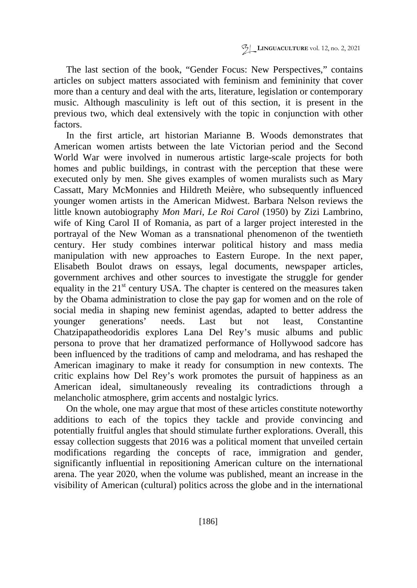The last section of the book, "Gender Focus: New Perspectives," contains articles on subject matters associated with feminism and femininity that cover more than a century and deal with the arts, literature, legislation or contemporary music. Although masculinity is left out of this section, it is present in the previous two, which deal extensively with the topic in conjunction with other factors.

In the first article, art historian Marianne B. Woods demonstrates that American women artists between the late Victorian period and the Second World War were involved in numerous artistic large-scale projects for both homes and public buildings, in contrast with the perception that these were executed only by men. She gives examples of women muralists such as Mary Cassatt, Mary McMonnies and Hildreth Meière, who subsequently influenced younger women artists in the American Midwest. Barbara Nelson reviews the little known autobiography *Mon Mari, Le Roi Carol* (1950) by Zizi Lambrino, wife of King Carol II of Romania, as part of a larger project interested in the portrayal of the New Woman as a transnational phenomenon of the twentieth century. Her study combines interwar political history and mass media manipulation with new approaches to Eastern Europe. In the next paper, Elisabeth Boulot draws on essays, legal documents, newspaper articles, government archives and other sources to investigate the struggle for gender equality in the  $21<sup>st</sup>$  century USA. The chapter is centered on the measures taken by the Obama administration to close the pay gap for women and on the role of social media in shaping new feminist agendas, adapted to better address the younger generations' needs. Last but not least, Constantine Chatzipapatheodoridis explores Lana Del Rey's music albums and public persona to prove that her dramatized performance of Hollywood sadcore has been influenced by the traditions of camp and melodrama, and has reshaped the American imaginary to make it ready for consumption in new contexts. The critic explains how Del Rey's work promotes the pursuit of happiness as an American ideal, simultaneously revealing its contradictions through a melancholic atmosphere, grim accents and nostalgic lyrics.

On the whole, one may argue that most of these articles constitute noteworthy additions to each of the topics they tackle and provide convincing and potentially fruitful angles that should stimulate further explorations. Overall, this essay collection suggests that 2016 was a political moment that unveiled certain modifications regarding the concepts of race, immigration and gender, significantly influential in repositioning American culture on the international arena. The year 2020, when the volume was published, meant an increase in the visibility of American (cultural) politics across the globe and in the international